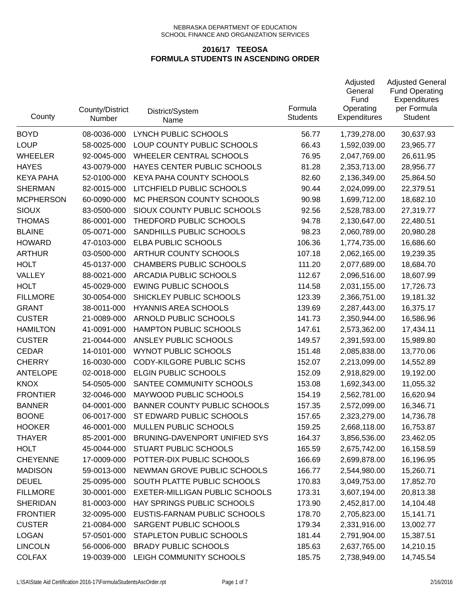| County           | County/District<br>Number | District/System<br>Name             | Formula<br><b>Students</b> | Adjusted<br>General<br>Fund<br>Operating<br>Expenditures | <b>Adjusted General</b><br><b>Fund Operating</b><br>Expenditures<br>per Formula<br><b>Student</b> |
|------------------|---------------------------|-------------------------------------|----------------------------|----------------------------------------------------------|---------------------------------------------------------------------------------------------------|
| <b>BOYD</b>      | 08-0036-000               | LYNCH PUBLIC SCHOOLS                | 56.77                      | 1,739,278.00                                             | 30,637.93                                                                                         |
| <b>LOUP</b>      | 58-0025-000               | LOUP COUNTY PUBLIC SCHOOLS          | 66.43                      | 1,592,039.00                                             | 23,965.77                                                                                         |
| <b>WHEELER</b>   | 92-0045-000               | <b>WHEELER CENTRAL SCHOOLS</b>      | 76.95                      | 2,047,769.00                                             | 26,611.95                                                                                         |
| <b>HAYES</b>     | 43-0079-000               | HAYES CENTER PUBLIC SCHOOLS         | 81.28                      | 2,353,713.00                                             | 28,956.77                                                                                         |
| <b>KEYA PAHA</b> | 52-0100-000               | KEYA PAHA COUNTY SCHOOLS            | 82.60                      | 2,136,349.00                                             | 25,864.50                                                                                         |
| <b>SHERMAN</b>   | 82-0015-000               | LITCHFIELD PUBLIC SCHOOLS           | 90.44                      | 2,024,099.00                                             | 22,379.51                                                                                         |
| <b>MCPHERSON</b> | 60-0090-000               | MC PHERSON COUNTY SCHOOLS           | 90.98                      | 1,699,712.00                                             | 18,682.10                                                                                         |
| <b>SIOUX</b>     | 83-0500-000               | SIOUX COUNTY PUBLIC SCHOOLS         | 92.56                      | 2,528,783.00                                             | 27,319.77                                                                                         |
| <b>THOMAS</b>    | 86-0001-000               | THEDFORD PUBLIC SCHOOLS             | 94.78                      | 2,130,647.00                                             | 22,480.51                                                                                         |
| <b>BLAINE</b>    | 05-0071-000               | SANDHILLS PUBLIC SCHOOLS            | 98.23                      | 2,060,789.00                                             | 20,980.28                                                                                         |
| <b>HOWARD</b>    | 47-0103-000               | ELBA PUBLIC SCHOOLS                 | 106.36                     | 1,774,735.00                                             | 16,686.60                                                                                         |
| <b>ARTHUR</b>    | 03-0500-000               | ARTHUR COUNTY SCHOOLS               | 107.18                     | 2,062,165.00                                             | 19,239.35                                                                                         |
| <b>HOLT</b>      | 45-0137-000               | <b>CHAMBERS PUBLIC SCHOOLS</b>      | 111.20                     | 2,077,689.00                                             | 18,684.70                                                                                         |
| VALLEY           | 88-0021-000               | ARCADIA PUBLIC SCHOOLS              | 112.67                     | 2,096,516.00                                             | 18,607.99                                                                                         |
| <b>HOLT</b>      | 45-0029-000               | <b>EWING PUBLIC SCHOOLS</b>         | 114.58                     | 2,031,155.00                                             | 17,726.73                                                                                         |
| <b>FILLMORE</b>  | 30-0054-000               | SHICKLEY PUBLIC SCHOOLS             | 123.39                     | 2,366,751.00                                             | 19,181.32                                                                                         |
| <b>GRANT</b>     | 38-0011-000               | <b>HYANNIS AREA SCHOOLS</b>         | 139.69                     | 2,287,443.00                                             | 16,375.17                                                                                         |
| <b>CUSTER</b>    | 21-0089-000               | ARNOLD PUBLIC SCHOOLS               | 141.73                     | 2,350,944.00                                             | 16,586.96                                                                                         |
| <b>HAMILTON</b>  | 41-0091-000               | HAMPTON PUBLIC SCHOOLS              | 147.61                     | 2,573,362.00                                             | 17,434.11                                                                                         |
| <b>CUSTER</b>    | 21-0044-000               | ANSLEY PUBLIC SCHOOLS               | 149.57                     | 2,391,593.00                                             | 15,989.80                                                                                         |
| <b>CEDAR</b>     | 14-0101-000               | <b>WYNOT PUBLIC SCHOOLS</b>         | 151.48                     | 2,085,838.00                                             | 13,770.06                                                                                         |
| <b>CHERRY</b>    | 16-0030-000               | <b>CODY-KILGORE PUBLIC SCHS</b>     | 152.07                     | 2,213,099.00                                             | 14,552.89                                                                                         |
| <b>ANTELOPE</b>  | 02-0018-000               | <b>ELGIN PUBLIC SCHOOLS</b>         | 152.09                     | 2,918,829.00                                             | 19,192.00                                                                                         |
| <b>KNOX</b>      | 54-0505-000               | SANTEE COMMUNITY SCHOOLS            | 153.08                     | 1,692,343.00                                             | 11,055.32                                                                                         |
| <b>FRONTIER</b>  | 32-0046-000               | MAYWOOD PUBLIC SCHOOLS              | 154.19                     | 2,562,781.00                                             | 16,620.94                                                                                         |
| <b>BANNER</b>    | 04-0001-000               | <b>BANNER COUNTY PUBLIC SCHOOLS</b> | 157.35                     | 2,572,099.00                                             | 16,346.71                                                                                         |
| <b>BOONE</b>     | 06-0017-000               | ST EDWARD PUBLIC SCHOOLS            | 157.65                     | 2,323,279.00                                             | 14,736.78                                                                                         |
| <b>HOOKER</b>    | 46-0001-000               | MULLEN PUBLIC SCHOOLS               | 159.25                     | 2,668,118.00                                             | 16,753.87                                                                                         |
| <b>THAYER</b>    | 85-2001-000               | BRUNING-DAVENPORT UNIFIED SYS       | 164.37                     | 3,856,536.00                                             | 23,462.05                                                                                         |
| <b>HOLT</b>      | 45-0044-000               | STUART PUBLIC SCHOOLS               | 165.59                     | 2,675,742.00                                             | 16,158.59                                                                                         |
| <b>CHEYENNE</b>  | 17-0009-000               | POTTER-DIX PUBLIC SCHOOLS           | 166.69                     | 2,699,878.00                                             | 16,196.95                                                                                         |
| <b>MADISON</b>   | 59-0013-000               | NEWMAN GROVE PUBLIC SCHOOLS         | 166.77                     | 2,544,980.00                                             | 15,260.71                                                                                         |
| <b>DEUEL</b>     | 25-0095-000               | SOUTH PLATTE PUBLIC SCHOOLS         | 170.83                     | 3,049,753.00                                             | 17,852.70                                                                                         |
| <b>FILLMORE</b>  | 30-0001-000               | EXETER-MILLIGAN PUBLIC SCHOOLS      | 173.31                     | 3,607,194.00                                             | 20,813.38                                                                                         |
| <b>SHERIDAN</b>  | 81-0003-000               | HAY SPRINGS PUBLIC SCHOOLS          | 173.90                     | 2,452,817.00                                             | 14,104.48                                                                                         |
| <b>FRONTIER</b>  | 32-0095-000               | EUSTIS-FARNAM PUBLIC SCHOOLS        | 178.70                     | 2,705,823.00                                             | 15,141.71                                                                                         |
| <b>CUSTER</b>    | 21-0084-000               | SARGENT PUBLIC SCHOOLS              | 179.34                     | 2,331,916.00                                             | 13,002.77                                                                                         |
| <b>LOGAN</b>     | 57-0501-000               | STAPLETON PUBLIC SCHOOLS            | 181.44                     | 2,791,904.00                                             | 15,387.51                                                                                         |
| <b>LINCOLN</b>   | 56-0006-000               | <b>BRADY PUBLIC SCHOOLS</b>         | 185.63                     | 2,637,765.00                                             | 14,210.15                                                                                         |
| <b>COLFAX</b>    | 19-0039-000               | LEIGH COMMUNITY SCHOOLS             | 185.75                     | 2,738,949.00                                             | 14,745.54                                                                                         |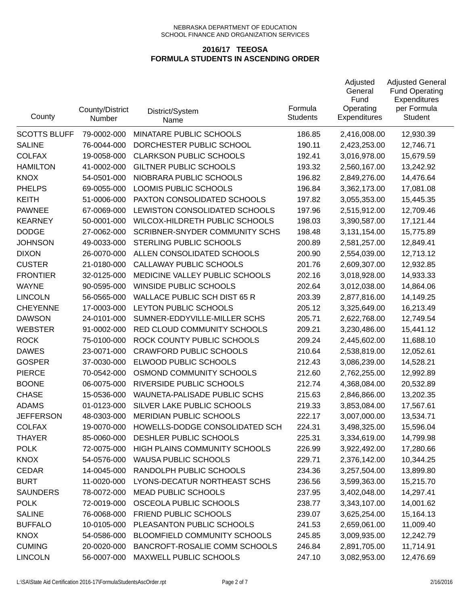| County              | County/District<br>Number | District/System<br>Name              | Formula<br><b>Students</b> | Adjusted<br>General<br>Fund<br>Operating<br>Expenditures | <b>Adjusted General</b><br><b>Fund Operating</b><br>Expenditures<br>per Formula<br><b>Student</b> |
|---------------------|---------------------------|--------------------------------------|----------------------------|----------------------------------------------------------|---------------------------------------------------------------------------------------------------|
| <b>SCOTTS BLUFF</b> | 79-0002-000               | MINATARE PUBLIC SCHOOLS              | 186.85                     | 2,416,008.00                                             | 12,930.39                                                                                         |
| <b>SALINE</b>       | 76-0044-000               | DORCHESTER PUBLIC SCHOOL             | 190.11                     | 2,423,253.00                                             | 12,746.71                                                                                         |
| <b>COLFAX</b>       | 19-0058-000               | <b>CLARKSON PUBLIC SCHOOLS</b>       | 192.41                     | 3,016,978.00                                             | 15,679.59                                                                                         |
| <b>HAMILTON</b>     | 41-0002-000               | <b>GILTNER PUBLIC SCHOOLS</b>        | 193.32                     | 2,560,167.00                                             | 13,242.92                                                                                         |
| <b>KNOX</b>         | 54-0501-000               | NIOBRARA PUBLIC SCHOOLS              | 196.82                     | 2,849,276.00                                             | 14,476.64                                                                                         |
| <b>PHELPS</b>       | 69-0055-000               | LOOMIS PUBLIC SCHOOLS                | 196.84                     | 3,362,173.00                                             | 17,081.08                                                                                         |
| <b>KEITH</b>        | 51-0006-000               | PAXTON CONSOLIDATED SCHOOLS          | 197.82                     | 3,055,353.00                                             | 15,445.35                                                                                         |
| <b>PAWNEE</b>       | 67-0069-000               | LEWISTON CONSOLIDATED SCHOOLS        | 197.96                     | 2,515,912.00                                             | 12,709.46                                                                                         |
| <b>KEARNEY</b>      | 50-0001-000               | WILCOX-HILDRETH PUBLIC SCHOOLS       | 198.03                     | 3,390,587.00                                             | 17,121.44                                                                                         |
| <b>DODGE</b>        | 27-0062-000               | SCRIBNER-SNYDER COMMUNITY SCHS       | 198.48                     | 3,131,154.00                                             | 15,775.89                                                                                         |
| <b>JOHNSON</b>      | 49-0033-000               | STERLING PUBLIC SCHOOLS              | 200.89                     | 2,581,257.00                                             | 12,849.41                                                                                         |
| <b>DIXON</b>        | 26-0070-000               | ALLEN CONSOLIDATED SCHOOLS           | 200.90                     | 2,554,039.00                                             | 12,713.12                                                                                         |
| <b>CUSTER</b>       | 21-0180-000               | CALLAWAY PUBLIC SCHOOLS              | 201.76                     | 2,609,307.00                                             | 12,932.85                                                                                         |
| <b>FRONTIER</b>     | 32-0125-000               | MEDICINE VALLEY PUBLIC SCHOOLS       | 202.16                     | 3,018,928.00                                             | 14,933.33                                                                                         |
| <b>WAYNE</b>        | 90-0595-000               | WINSIDE PUBLIC SCHOOLS               | 202.64                     | 3,012,038.00                                             | 14,864.06                                                                                         |
| <b>LINCOLN</b>      | 56-0565-000               | <b>WALLACE PUBLIC SCH DIST 65 R</b>  | 203.39                     | 2,877,816.00                                             | 14,149.25                                                                                         |
| <b>CHEYENNE</b>     | 17-0003-000               | LEYTON PUBLIC SCHOOLS                | 205.12                     | 3,325,649.00                                             | 16,213.49                                                                                         |
| <b>DAWSON</b>       | 24-0101-000               | SUMNER-EDDYVILLE-MILLER SCHS         | 205.71                     | 2,622,768.00                                             | 12,749.54                                                                                         |
| <b>WEBSTER</b>      | 91-0002-000               | RED CLOUD COMMUNITY SCHOOLS          | 209.21                     | 3,230,486.00                                             | 15,441.12                                                                                         |
| <b>ROCK</b>         | 75-0100-000               | ROCK COUNTY PUBLIC SCHOOLS           | 209.24                     | 2,445,602.00                                             | 11,688.10                                                                                         |
| <b>DAWES</b>        | 23-0071-000               | <b>CRAWFORD PUBLIC SCHOOLS</b>       | 210.64                     | 2,538,819.00                                             | 12,052.61                                                                                         |
| <b>GOSPER</b>       | 37-0030-000               | ELWOOD PUBLIC SCHOOLS                | 212.43                     | 3,086,239.00                                             | 14,528.21                                                                                         |
| <b>PIERCE</b>       | 70-0542-000               | OSMOND COMMUNITY SCHOOLS             | 212.60                     | 2,762,255.00                                             | 12,992.89                                                                                         |
| <b>BOONE</b>        | 06-0075-000               | RIVERSIDE PUBLIC SCHOOLS             | 212.74                     | 4,368,084.00                                             | 20,532.89                                                                                         |
| <b>CHASE</b>        | 15-0536-000               | WAUNETA-PALISADE PUBLIC SCHS         | 215.63                     | 2,846,866.00                                             | 13,202.35                                                                                         |
| <b>ADAMS</b>        | 01-0123-000               | SILVER LAKE PUBLIC SCHOOLS           | 219.33                     | 3,853,084.00                                             | 17,567.61                                                                                         |
| <b>JEFFERSON</b>    | 48-0303-000               | <b>MERIDIAN PUBLIC SCHOOLS</b>       | 222.17                     | 3,007,000.00                                             | 13,534.71                                                                                         |
| <b>COLFAX</b>       | 19-0070-000               | HOWELLS-DODGE CONSOLIDATED SCH       | 224.31                     | 3,498,325.00                                             | 15,596.04                                                                                         |
| <b>THAYER</b>       | 85-0060-000               | DESHLER PUBLIC SCHOOLS               | 225.31                     | 3,334,619.00                                             | 14,799.98                                                                                         |
| <b>POLK</b>         | 72-0075-000               | <b>HIGH PLAINS COMMUNITY SCHOOLS</b> | 226.99                     | 3,922,492.00                                             | 17,280.66                                                                                         |
| <b>KNOX</b>         | 54-0576-000               | <b>WAUSA PUBLIC SCHOOLS</b>          | 229.71                     | 2,376,142.00                                             | 10,344.25                                                                                         |
| <b>CEDAR</b>        | 14-0045-000               | RANDOLPH PUBLIC SCHOOLS              | 234.36                     | 3,257,504.00                                             | 13,899.80                                                                                         |
| <b>BURT</b>         | 11-0020-000               | LYONS-DECATUR NORTHEAST SCHS         | 236.56                     | 3,599,363.00                                             | 15,215.70                                                                                         |
| <b>SAUNDERS</b>     | 78-0072-000               | <b>MEAD PUBLIC SCHOOLS</b>           | 237.95                     | 3,402,048.00                                             | 14,297.41                                                                                         |
| <b>POLK</b>         | 72-0019-000               | OSCEOLA PUBLIC SCHOOLS               | 238.77                     | 3,343,107.00                                             | 14,001.62                                                                                         |
| <b>SALINE</b>       | 76-0068-000               | FRIEND PUBLIC SCHOOLS                | 239.07                     | 3,625,254.00                                             | 15,164.13                                                                                         |
| <b>BUFFALO</b>      | 10-0105-000               | PLEASANTON PUBLIC SCHOOLS            | 241.53                     | 2,659,061.00                                             | 11,009.40                                                                                         |
| <b>KNOX</b>         | 54-0586-000               | BLOOMFIELD COMMUNITY SCHOOLS         | 245.85                     | 3,009,935.00                                             | 12,242.79                                                                                         |
| <b>CUMING</b>       | 20-0020-000               | BANCROFT-ROSALIE COMM SCHOOLS        | 246.84                     | 2,891,705.00                                             | 11,714.91                                                                                         |
| <b>LINCOLN</b>      | 56-0007-000               | <b>MAXWELL PUBLIC SCHOOLS</b>        | 247.10                     | 3,082,953.00                                             | 12,476.69                                                                                         |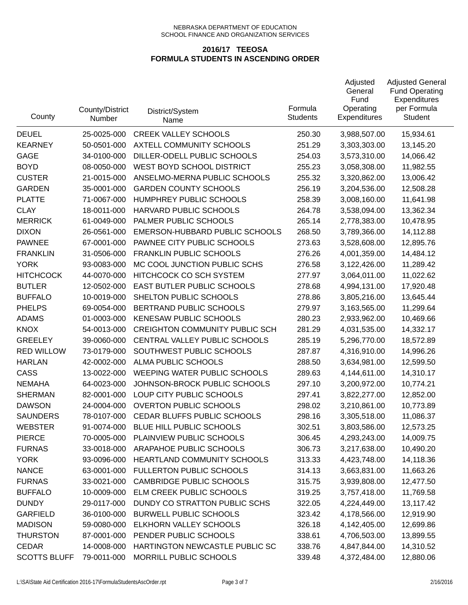| County              | County/District<br>Number | District/System<br>Name               | Formula<br><b>Students</b> | Adjusted<br>General<br>Fund<br>Operating<br>Expenditures | <b>Adjusted General</b><br><b>Fund Operating</b><br>Expenditures<br>per Formula<br><b>Student</b> |
|---------------------|---------------------------|---------------------------------------|----------------------------|----------------------------------------------------------|---------------------------------------------------------------------------------------------------|
| <b>DEUEL</b>        | 25-0025-000               | <b>CREEK VALLEY SCHOOLS</b>           | 250.30                     | 3,988,507.00                                             | 15,934.61                                                                                         |
| <b>KEARNEY</b>      | 50-0501-000               | AXTELL COMMUNITY SCHOOLS              | 251.29                     | 3,303,303.00                                             | 13,145.20                                                                                         |
| <b>GAGE</b>         | 34-0100-000               | DILLER-ODELL PUBLIC SCHOOLS           | 254.03                     | 3,573,310.00                                             | 14,066.42                                                                                         |
| <b>BOYD</b>         | 08-0050-000               | WEST BOYD SCHOOL DISTRICT             | 255.23                     | 3,058,308.00                                             | 11,982.55                                                                                         |
| <b>CUSTER</b>       | 21-0015-000               | ANSELMO-MERNA PUBLIC SCHOOLS          | 255.32                     | 3,320,862.00                                             | 13,006.42                                                                                         |
| <b>GARDEN</b>       | 35-0001-000               | <b>GARDEN COUNTY SCHOOLS</b>          | 256.19                     | 3,204,536.00                                             | 12,508.28                                                                                         |
| <b>PLATTE</b>       | 71-0067-000               | HUMPHREY PUBLIC SCHOOLS               | 258.39                     | 3,008,160.00                                             | 11,641.98                                                                                         |
| <b>CLAY</b>         | 18-0011-000               | HARVARD PUBLIC SCHOOLS                | 264.78                     | 3,538,094.00                                             | 13,362.34                                                                                         |
| <b>MERRICK</b>      | 61-0049-000               | PALMER PUBLIC SCHOOLS                 | 265.14                     | 2,778,383.00                                             | 10,478.95                                                                                         |
| <b>DIXON</b>        | 26-0561-000               | EMERSON-HUBBARD PUBLIC SCHOOLS        | 268.50                     | 3,789,366.00                                             | 14,112.88                                                                                         |
| <b>PAWNEE</b>       | 67-0001-000               | PAWNEE CITY PUBLIC SCHOOLS            | 273.63                     | 3,528,608.00                                             | 12,895.76                                                                                         |
| <b>FRANKLIN</b>     | 31-0506-000               | <b>FRANKLIN PUBLIC SCHOOLS</b>        | 276.26                     | 4,001,359.00                                             | 14,484.12                                                                                         |
| <b>YORK</b>         | 93-0083-000               | MC COOL JUNCTION PUBLIC SCHS          | 276.58                     | 3,122,426.00                                             | 11,289.42                                                                                         |
| <b>HITCHCOCK</b>    | 44-0070-000               | HITCHCOCK CO SCH SYSTEM               | 277.97                     | 3,064,011.00                                             | 11,022.62                                                                                         |
| <b>BUTLER</b>       | 12-0502-000               | EAST BUTLER PUBLIC SCHOOLS            | 278.68                     | 4,994,131.00                                             | 17,920.48                                                                                         |
| <b>BUFFALO</b>      | 10-0019-000               | SHELTON PUBLIC SCHOOLS                | 278.86                     | 3,805,216.00                                             | 13,645.44                                                                                         |
| <b>PHELPS</b>       | 69-0054-000               | BERTRAND PUBLIC SCHOOLS               | 279.97                     | 3,163,565.00                                             | 11,299.64                                                                                         |
| <b>ADAMS</b>        | 01-0003-000               | <b>KENESAW PUBLIC SCHOOLS</b>         | 280.23                     | 2,933,962.00                                             | 10,469.66                                                                                         |
| <b>KNOX</b>         | 54-0013-000               | <b>CREIGHTON COMMUNITY PUBLIC SCH</b> | 281.29                     | 4,031,535.00                                             | 14,332.17                                                                                         |
| <b>GREELEY</b>      | 39-0060-000               | CENTRAL VALLEY PUBLIC SCHOOLS         | 285.19                     | 5,296,770.00                                             | 18,572.89                                                                                         |
| <b>RED WILLOW</b>   | 73-0179-000               | SOUTHWEST PUBLIC SCHOOLS              | 287.87                     | 4,316,910.00                                             | 14,996.26                                                                                         |
| <b>HARLAN</b>       | 42-0002-000               | ALMA PUBLIC SCHOOLS                   | 288.50                     | 3,634,981.00                                             | 12,599.50                                                                                         |
| CASS                | 13-0022-000               | WEEPING WATER PUBLIC SCHOOLS          | 289.63                     | 4,144,611.00                                             | 14,310.17                                                                                         |
| <b>NEMAHA</b>       | 64-0023-000               | JOHNSON-BROCK PUBLIC SCHOOLS          | 297.10                     | 3,200,972.00                                             | 10,774.21                                                                                         |
| <b>SHERMAN</b>      | 82-0001-000               | LOUP CITY PUBLIC SCHOOLS              | 297.41                     | 3,822,277.00                                             | 12,852.00                                                                                         |
| <b>DAWSON</b>       | 24-0004-000               | <b>OVERTON PUBLIC SCHOOLS</b>         | 298.02                     | 3,210,861.00                                             | 10,773.89                                                                                         |
| <b>SAUNDERS</b>     | 78-0107-000               | CEDAR BLUFFS PUBLIC SCHOOLS           | 298.16                     | 3,305,518.00                                             | 11,086.37                                                                                         |
| <b>WEBSTER</b>      | 91-0074-000               | BLUE HILL PUBLIC SCHOOLS              | 302.51                     | 3,803,586.00                                             | 12,573.25                                                                                         |
| <b>PIERCE</b>       | 70-0005-000               | PLAINVIEW PUBLIC SCHOOLS              | 306.45                     | 4,293,243.00                                             | 14,009.75                                                                                         |
| <b>FURNAS</b>       | 33-0018-000               | ARAPAHOE PUBLIC SCHOOLS               | 306.73                     | 3,217,638.00                                             | 10,490.20                                                                                         |
| <b>YORK</b>         | 93-0096-000               | <b>HEARTLAND COMMUNITY SCHOOLS</b>    | 313.33                     | 4,423,748.00                                             | 14,118.36                                                                                         |
| <b>NANCE</b>        | 63-0001-000               | FULLERTON PUBLIC SCHOOLS              | 314.13                     | 3,663,831.00                                             | 11,663.26                                                                                         |
| <b>FURNAS</b>       | 33-0021-000               | <b>CAMBRIDGE PUBLIC SCHOOLS</b>       | 315.75                     | 3,939,808.00                                             | 12,477.50                                                                                         |
| <b>BUFFALO</b>      | 10-0009-000               | ELM CREEK PUBLIC SCHOOLS              | 319.25                     | 3,757,418.00                                             | 11,769.58                                                                                         |
| <b>DUNDY</b>        | 29-0117-000               | DUNDY CO STRATTON PUBLIC SCHS         | 322.05                     | 4,224,449.00                                             | 13,117.42                                                                                         |
| <b>GARFIELD</b>     | 36-0100-000               | <b>BURWELL PUBLIC SCHOOLS</b>         | 323.42                     | 4,178,566.00                                             | 12,919.90                                                                                         |
| <b>MADISON</b>      | 59-0080-000               | ELKHORN VALLEY SCHOOLS                | 326.18                     | 4,142,405.00                                             | 12,699.86                                                                                         |
| <b>THURSTON</b>     | 87-0001-000               | PENDER PUBLIC SCHOOLS                 | 338.61                     | 4,706,503.00                                             | 13,899.55                                                                                         |
| CEDAR               | 14-0008-000               | HARTINGTON NEWCASTLE PUBLIC SC        | 338.76                     | 4,847,844.00                                             | 14,310.52                                                                                         |
| <b>SCOTTS BLUFF</b> | 79-0011-000               | MORRILL PUBLIC SCHOOLS                | 339.48                     | 4,372,484.00                                             | 12,880.06                                                                                         |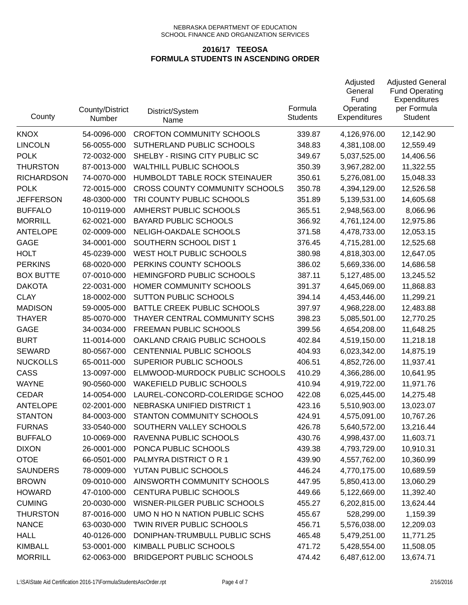| County            | County/District<br>Number | District/System<br>Name               | Formula<br><b>Students</b> | Adjusted<br>General<br>Fund<br>Operating<br><b>Expenditures</b> | <b>Adjusted General</b><br><b>Fund Operating</b><br>Expenditures<br>per Formula<br><b>Student</b> |
|-------------------|---------------------------|---------------------------------------|----------------------------|-----------------------------------------------------------------|---------------------------------------------------------------------------------------------------|
| <b>KNOX</b>       | 54-0096-000               | <b>CROFTON COMMUNITY SCHOOLS</b>      | 339.87                     | 4,126,976.00                                                    | 12,142.90                                                                                         |
| <b>LINCOLN</b>    | 56-0055-000               | SUTHERLAND PUBLIC SCHOOLS             | 348.83                     | 4,381,108.00                                                    | 12,559.49                                                                                         |
| <b>POLK</b>       | 72-0032-000               | SHELBY - RISING CITY PUBLIC SC        | 349.67                     | 5,037,525.00                                                    | 14,406.56                                                                                         |
| <b>THURSTON</b>   | 87-0013-000               | <b>WALTHILL PUBLIC SCHOOLS</b>        | 350.39                     | 3,967,282.00                                                    | 11,322.55                                                                                         |
| <b>RICHARDSON</b> | 74-0070-000               | HUMBOLDT TABLE ROCK STEINAUER         | 350.61                     | 5,276,081.00                                                    | 15,048.33                                                                                         |
| <b>POLK</b>       | 72-0015-000               | <b>CROSS COUNTY COMMUNITY SCHOOLS</b> | 350.78                     | 4,394,129.00                                                    | 12,526.58                                                                                         |
| <b>JEFFERSON</b>  | 48-0300-000               | TRI COUNTY PUBLIC SCHOOLS             | 351.89                     | 5,139,531.00                                                    | 14,605.68                                                                                         |
| <b>BUFFALO</b>    | 10-0119-000               | AMHERST PUBLIC SCHOOLS                | 365.51                     | 2,948,563.00                                                    | 8,066.96                                                                                          |
| <b>MORRILL</b>    | 62-0021-000               | <b>BAYARD PUBLIC SCHOOLS</b>          | 366.92                     | 4,761,124.00                                                    | 12,975.86                                                                                         |
| <b>ANTELOPE</b>   | 02-0009-000               | NELIGH-OAKDALE SCHOOLS                | 371.58                     | 4,478,733.00                                                    | 12,053.15                                                                                         |
| <b>GAGE</b>       | 34-0001-000               | SOUTHERN SCHOOL DIST 1                | 376.45                     | 4,715,281.00                                                    | 12,525.68                                                                                         |
| <b>HOLT</b>       | 45-0239-000               | WEST HOLT PUBLIC SCHOOLS              | 380.98                     | 4,818,303.00                                                    | 12,647.05                                                                                         |
| <b>PERKINS</b>    | 68-0020-000               | PERKINS COUNTY SCHOOLS                | 386.02                     | 5,669,336.00                                                    | 14,686.58                                                                                         |
| <b>BOX BUTTE</b>  | 07-0010-000               | HEMINGFORD PUBLIC SCHOOLS             | 387.11                     | 5,127,485.00                                                    | 13,245.52                                                                                         |
| <b>DAKOTA</b>     | 22-0031-000               | HOMER COMMUNITY SCHOOLS               | 391.37                     | 4,645,069.00                                                    | 11,868.83                                                                                         |
| <b>CLAY</b>       | 18-0002-000               | <b>SUTTON PUBLIC SCHOOLS</b>          | 394.14                     | 4,453,446.00                                                    | 11,299.21                                                                                         |
| <b>MADISON</b>    | 59-0005-000               | BATTLE CREEK PUBLIC SCHOOLS           | 397.97                     | 4,968,228.00                                                    | 12,483.88                                                                                         |
| <b>THAYER</b>     | 85-0070-000               | THAYER CENTRAL COMMUNITY SCHS         | 398.23                     | 5,085,501.00                                                    | 12,770.25                                                                                         |
| <b>GAGE</b>       | 34-0034-000               | FREEMAN PUBLIC SCHOOLS                | 399.56                     | 4,654,208.00                                                    | 11,648.25                                                                                         |
| <b>BURT</b>       | 11-0014-000               | OAKLAND CRAIG PUBLIC SCHOOLS          | 402.84                     | 4,519,150.00                                                    | 11,218.18                                                                                         |
| <b>SEWARD</b>     | 80-0567-000               | CENTENNIAL PUBLIC SCHOOLS             | 404.93                     | 6,023,342.00                                                    | 14,875.19                                                                                         |
| <b>NUCKOLLS</b>   | 65-0011-000               | SUPERIOR PUBLIC SCHOOLS               | 406.51                     | 4,852,726.00                                                    | 11,937.41                                                                                         |
| CASS              | 13-0097-000               | ELMWOOD-MURDOCK PUBLIC SCHOOLS        | 410.29                     | 4,366,286.00                                                    | 10,641.95                                                                                         |
| <b>WAYNE</b>      | 90-0560-000               | <b>WAKEFIELD PUBLIC SCHOOLS</b>       | 410.94                     | 4,919,722.00                                                    | 11,971.76                                                                                         |
| <b>CEDAR</b>      | 14-0054-000               | LAUREL-CONCORD-COLERIDGE SCHOO        | 422.08                     | 6,025,445.00                                                    | 14,275.48                                                                                         |
| <b>ANTELOPE</b>   | 02-2001-000               | NEBRASKA UNIFIED DISTRICT 1           | 423.16                     | 5,510,903.00                                                    | 13,023.07                                                                                         |
| <b>STANTON</b>    | 84-0003-000               | <b>STANTON COMMUNITY SCHOOLS</b>      | 424.91                     | 4,575,091.00                                                    | 10,767.26                                                                                         |
| <b>FURNAS</b>     | 33-0540-000               | SOUTHERN VALLEY SCHOOLS               | 426.78                     | 5,640,572.00                                                    | 13,216.44                                                                                         |
| <b>BUFFALO</b>    | 10-0069-000               | RAVENNA PUBLIC SCHOOLS                | 430.76                     | 4,998,437.00                                                    | 11,603.71                                                                                         |
| <b>DIXON</b>      | 26-0001-000               | PONCA PUBLIC SCHOOLS                  | 439.38                     | 4,793,729.00                                                    | 10,910.31                                                                                         |
| <b>OTOE</b>       | 66-0501-000               | PALMYRA DISTRICT OR 1                 | 439.90                     | 4,557,762.00                                                    | 10,360.99                                                                                         |
| <b>SAUNDERS</b>   | 78-0009-000               | YUTAN PUBLIC SCHOOLS                  | 446.24                     | 4,770,175.00                                                    | 10,689.59                                                                                         |
| <b>BROWN</b>      | 09-0010-000               | AINSWORTH COMMUNITY SCHOOLS           | 447.95                     | 5,850,413.00                                                    | 13,060.29                                                                                         |
| <b>HOWARD</b>     | 47-0100-000               | CENTURA PUBLIC SCHOOLS                | 449.66                     | 5,122,669.00                                                    | 11,392.40                                                                                         |
| <b>CUMING</b>     | 20-0030-000               | WISNER-PILGER PUBLIC SCHOOLS          | 455.27                     | 6,202,815.00                                                    | 13,624.44                                                                                         |
| <b>THURSTON</b>   | 87-0016-000               | UMO N HO N NATION PUBLIC SCHS         | 455.67                     | 528,299.00                                                      | 1,159.39                                                                                          |
| <b>NANCE</b>      | 63-0030-000               | TWIN RIVER PUBLIC SCHOOLS             | 456.71                     | 5,576,038.00                                                    | 12,209.03                                                                                         |
| <b>HALL</b>       | 40-0126-000               | DONIPHAN-TRUMBULL PUBLIC SCHS         | 465.48                     | 5,479,251.00                                                    | 11,771.25                                                                                         |
| <b>KIMBALL</b>    | 53-0001-000               | KIMBALL PUBLIC SCHOOLS                | 471.72                     | 5,428,554.00                                                    | 11,508.05                                                                                         |
| <b>MORRILL</b>    | 62-0063-000               | <b>BRIDGEPORT PUBLIC SCHOOLS</b>      | 474.42                     | 6,487,612.00                                                    | 13,674.71                                                                                         |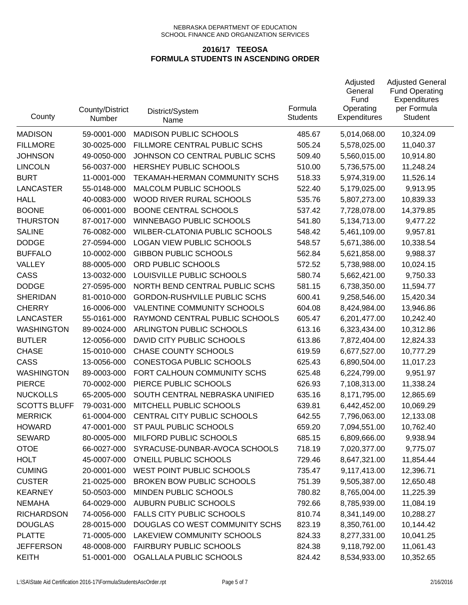| County              | County/District<br>Number | District/System<br>Name             | Formula<br><b>Students</b> | Adjusted<br>General<br>Fund<br>Operating<br><b>Expenditures</b> | <b>Adjusted General</b><br><b>Fund Operating</b><br>Expenditures<br>per Formula<br><b>Student</b> |
|---------------------|---------------------------|-------------------------------------|----------------------------|-----------------------------------------------------------------|---------------------------------------------------------------------------------------------------|
| <b>MADISON</b>      | 59-0001-000               | <b>MADISON PUBLIC SCHOOLS</b>       | 485.67                     | 5,014,068.00                                                    | 10,324.09                                                                                         |
| <b>FILLMORE</b>     | 30-0025-000               | FILLMORE CENTRAL PUBLIC SCHS        | 505.24                     | 5,578,025.00                                                    | 11,040.37                                                                                         |
| <b>JOHNSON</b>      | 49-0050-000               | JOHNSON CO CENTRAL PUBLIC SCHS      | 509.40                     | 5,560,015.00                                                    | 10,914.80                                                                                         |
| <b>LINCOLN</b>      | 56-0037-000               | HERSHEY PUBLIC SCHOOLS              | 510.00                     | 5,736,575.00                                                    | 11,248.24                                                                                         |
| <b>BURT</b>         | 11-0001-000               | TEKAMAH-HERMAN COMMUNITY SCHS       | 518.33                     | 5,974,319.00                                                    | 11,526.14                                                                                         |
| <b>LANCASTER</b>    | 55-0148-000               | MALCOLM PUBLIC SCHOOLS              | 522.40                     | 5,179,025.00                                                    | 9,913.95                                                                                          |
| <b>HALL</b>         | 40-0083-000               | WOOD RIVER RURAL SCHOOLS            | 535.76                     | 5,807,273.00                                                    | 10,839.33                                                                                         |
| <b>BOONE</b>        | 06-0001-000               | <b>BOONE CENTRAL SCHOOLS</b>        | 537.42                     | 7,728,078.00                                                    | 14,379.85                                                                                         |
| <b>THURSTON</b>     | 87-0017-000               | <b>WINNEBAGO PUBLIC SCHOOLS</b>     | 541.80                     | 5,134,713.00                                                    | 9,477.22                                                                                          |
| <b>SALINE</b>       | 76-0082-000               | WILBER-CLATONIA PUBLIC SCHOOLS      | 548.42                     | 5,461,109.00                                                    | 9,957.81                                                                                          |
| <b>DODGE</b>        | 27-0594-000               | <b>LOGAN VIEW PUBLIC SCHOOLS</b>    | 548.57                     | 5,671,386.00                                                    | 10,338.54                                                                                         |
| <b>BUFFALO</b>      | 10-0002-000               | <b>GIBBON PUBLIC SCHOOLS</b>        | 562.84                     | 5,621,858.00                                                    | 9,988.37                                                                                          |
| VALLEY              | 88-0005-000               | ORD PUBLIC SCHOOLS                  | 572.52                     | 5,738,988.00                                                    | 10,024.15                                                                                         |
| CASS                | 13-0032-000               | LOUISVILLE PUBLIC SCHOOLS           | 580.74                     | 5,662,421.00                                                    | 9,750.33                                                                                          |
| <b>DODGE</b>        | 27-0595-000               | NORTH BEND CENTRAL PUBLIC SCHS      | 581.15                     | 6,738,350.00                                                    | 11,594.77                                                                                         |
| <b>SHERIDAN</b>     | 81-0010-000               | <b>GORDON-RUSHVILLE PUBLIC SCHS</b> | 600.41                     | 9,258,546.00                                                    | 15,420.34                                                                                         |
| <b>CHERRY</b>       | 16-0006-000               | VALENTINE COMMUNITY SCHOOLS         | 604.08                     | 8,424,984.00                                                    | 13,946.86                                                                                         |
| <b>LANCASTER</b>    | 55-0161-000               | RAYMOND CENTRAL PUBLIC SCHOOLS      | 605.47                     | 6,201,477.00                                                    | 10,242.40                                                                                         |
| <b>WASHINGTON</b>   | 89-0024-000               | ARLINGTON PUBLIC SCHOOLS            | 613.16                     | 6,323,434.00                                                    | 10,312.86                                                                                         |
| <b>BUTLER</b>       | 12-0056-000               | DAVID CITY PUBLIC SCHOOLS           | 613.86                     | 7,872,404.00                                                    | 12,824.33                                                                                         |
| <b>CHASE</b>        | 15-0010-000               | <b>CHASE COUNTY SCHOOLS</b>         | 619.59                     | 6,677,527.00                                                    | 10,777.29                                                                                         |
| CASS                | 13-0056-000               | CONESTOGA PUBLIC SCHOOLS            | 625.43                     | 6,890,504.00                                                    | 11,017.23                                                                                         |
| <b>WASHINGTON</b>   | 89-0003-000               | FORT CALHOUN COMMUNITY SCHS         | 625.48                     | 6,224,799.00                                                    | 9,951.97                                                                                          |
| <b>PIERCE</b>       | 70-0002-000               | PIERCE PUBLIC SCHOOLS               | 626.93                     | 7,108,313.00                                                    | 11,338.24                                                                                         |
| <b>NUCKOLLS</b>     | 65-2005-000               | SOUTH CENTRAL NEBRASKA UNIFIED      | 635.16                     | 8,171,795.00                                                    | 12,865.69                                                                                         |
| <b>SCOTTS BLUFF</b> | 79-0031-000               | MITCHELL PUBLIC SCHOOLS             | 639.81                     | 6,442,452.00                                                    | 10,069.29                                                                                         |
| <b>MERRICK</b>      | 61-0004-000               | CENTRAL CITY PUBLIC SCHOOLS         | 642.55                     | 7,796,063.00                                                    | 12,133.08                                                                                         |
| <b>HOWARD</b>       | 47-0001-000               | ST PAUL PUBLIC SCHOOLS              | 659.20                     | 7,094,551.00                                                    | 10,762.40                                                                                         |
| <b>SEWARD</b>       | 80-0005-000               | MILFORD PUBLIC SCHOOLS              | 685.15                     | 6,809,666.00                                                    | 9,938.94                                                                                          |
| <b>OTOE</b>         | 66-0027-000               | SYRACUSE-DUNBAR-AVOCA SCHOOLS       | 718.19                     | 7,020,377.00                                                    | 9,775.07                                                                                          |
| <b>HOLT</b>         | 45-0007-000               | O'NEILL PUBLIC SCHOOLS              | 729.46                     | 8,647,321.00                                                    | 11,854.44                                                                                         |
| <b>CUMING</b>       | 20-0001-000               | WEST POINT PUBLIC SCHOOLS           | 735.47                     | 9,117,413.00                                                    | 12,396.71                                                                                         |
| <b>CUSTER</b>       | 21-0025-000               | <b>BROKEN BOW PUBLIC SCHOOLS</b>    | 751.39                     | 9,505,387.00                                                    | 12,650.48                                                                                         |
| <b>KEARNEY</b>      | 50-0503-000               | MINDEN PUBLIC SCHOOLS               | 780.82                     | 8,765,004.00                                                    | 11,225.39                                                                                         |
| <b>NEMAHA</b>       | 64-0029-000               | <b>AUBURN PUBLIC SCHOOLS</b>        | 792.66                     | 8,785,939.00                                                    | 11,084.19                                                                                         |
| <b>RICHARDSON</b>   | 74-0056-000               | <b>FALLS CITY PUBLIC SCHOOLS</b>    | 810.74                     | 8,341,149.00                                                    | 10,288.27                                                                                         |
| <b>DOUGLAS</b>      | 28-0015-000               | DOUGLAS CO WEST COMMUNITY SCHS      | 823.19                     | 8,350,761.00                                                    | 10,144.42                                                                                         |
| <b>PLATTE</b>       | 71-0005-000               | LAKEVIEW COMMUNITY SCHOOLS          | 824.33                     | 8,277,331.00                                                    | 10,041.25                                                                                         |
| <b>JEFFERSON</b>    | 48-0008-000               | <b>FAIRBURY PUBLIC SCHOOLS</b>      | 824.38                     | 9,118,792.00                                                    | 11,061.43                                                                                         |
| <b>KEITH</b>        | 51-0001-000               | OGALLALA PUBLIC SCHOOLS             | 824.42                     | 8,534,933.00                                                    | 10,352.65                                                                                         |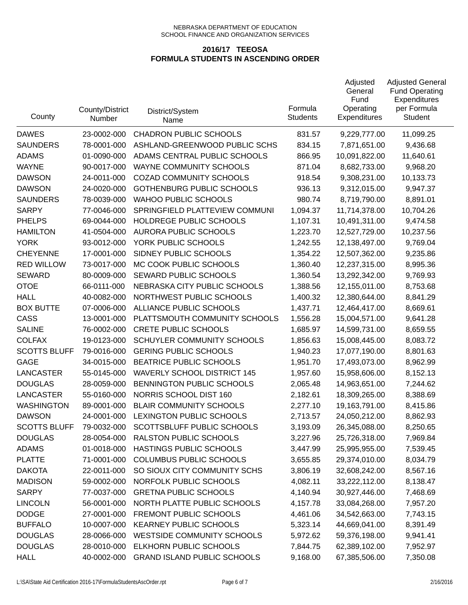| County              | County/District<br>Number | District/System<br>Name            | Formula<br><b>Students</b> | Adjusted<br>General<br>Fund<br>Operating<br>Expenditures | <b>Adjusted General</b><br><b>Fund Operating</b><br>Expenditures<br>per Formula<br><b>Student</b> |
|---------------------|---------------------------|------------------------------------|----------------------------|----------------------------------------------------------|---------------------------------------------------------------------------------------------------|
| <b>DAWES</b>        | 23-0002-000               | <b>CHADRON PUBLIC SCHOOLS</b>      | 831.57                     | 9,229,777.00                                             | 11,099.25                                                                                         |
| <b>SAUNDERS</b>     | 78-0001-000               | ASHLAND-GREENWOOD PUBLIC SCHS      | 834.15                     | 7,871,651.00                                             | 9,436.68                                                                                          |
| <b>ADAMS</b>        | 01-0090-000               | ADAMS CENTRAL PUBLIC SCHOOLS       | 866.95                     | 10,091,822.00                                            | 11,640.61                                                                                         |
| <b>WAYNE</b>        | 90-0017-000               | <b>WAYNE COMMUNITY SCHOOLS</b>     | 871.04                     | 8,682,733.00                                             | 9,968.20                                                                                          |
| <b>DAWSON</b>       | 24-0011-000               | <b>COZAD COMMUNITY SCHOOLS</b>     | 918.54                     | 9,308,231.00                                             | 10,133.73                                                                                         |
| <b>DAWSON</b>       | 24-0020-000               | <b>GOTHENBURG PUBLIC SCHOOLS</b>   | 936.13                     | 9,312,015.00                                             | 9,947.37                                                                                          |
| <b>SAUNDERS</b>     | 78-0039-000               | <b>WAHOO PUBLIC SCHOOLS</b>        | 980.74                     | 8,719,790.00                                             | 8,891.01                                                                                          |
| <b>SARPY</b>        | 77-0046-000               | SPRINGFIELD PLATTEVIEW COMMUNI     | 1,094.37                   | 11,714,378.00                                            | 10,704.26                                                                                         |
| <b>PHELPS</b>       | 69-0044-000               | HOLDREGE PUBLIC SCHOOLS            | 1,107.31                   | 10,491,311.00                                            | 9,474.58                                                                                          |
| <b>HAMILTON</b>     | 41-0504-000               | <b>AURORA PUBLIC SCHOOLS</b>       | 1,223.70                   | 12,527,729.00                                            | 10,237.56                                                                                         |
| <b>YORK</b>         | 93-0012-000               | YORK PUBLIC SCHOOLS                | 1,242.55                   | 12,138,497.00                                            | 9,769.04                                                                                          |
| <b>CHEYENNE</b>     | 17-0001-000               | SIDNEY PUBLIC SCHOOLS              | 1,354.22                   | 12,507,362.00                                            | 9,235.86                                                                                          |
| <b>RED WILLOW</b>   | 73-0017-000               | MC COOK PUBLIC SCHOOLS             | 1,360.40                   | 12,237,315.00                                            | 8,995.36                                                                                          |
| <b>SEWARD</b>       | 80-0009-000               | SEWARD PUBLIC SCHOOLS              | 1,360.54                   | 13,292,342.00                                            | 9,769.93                                                                                          |
| <b>OTOE</b>         | 66-0111-000               | NEBRASKA CITY PUBLIC SCHOOLS       | 1,388.56                   | 12,155,011.00                                            | 8,753.68                                                                                          |
| <b>HALL</b>         | 40-0082-000               | NORTHWEST PUBLIC SCHOOLS           | 1,400.32                   | 12,380,644.00                                            | 8,841.29                                                                                          |
| <b>BOX BUTTE</b>    | 07-0006-000               | ALLIANCE PUBLIC SCHOOLS            | 1,437.71                   | 12,464,417.00                                            | 8,669.61                                                                                          |
| CASS                | 13-0001-000               | PLATTSMOUTH COMMUNITY SCHOOLS      | 1,556.28                   | 15,004,571.00                                            | 9,641.28                                                                                          |
| <b>SALINE</b>       | 76-0002-000               | <b>CRETE PUBLIC SCHOOLS</b>        | 1,685.97                   | 14,599,731.00                                            | 8,659.55                                                                                          |
| <b>COLFAX</b>       | 19-0123-000               | SCHUYLER COMMUNITY SCHOOLS         | 1,856.63                   | 15,008,445.00                                            | 8,083.72                                                                                          |
| <b>SCOTTS BLUFF</b> | 79-0016-000               | <b>GERING PUBLIC SCHOOLS</b>       | 1,940.23                   | 17,077,190.00                                            | 8,801.63                                                                                          |
| <b>GAGE</b>         | 34-0015-000               | BEATRICE PUBLIC SCHOOLS            | 1,951.70                   | 17,493,073.00                                            | 8,962.99                                                                                          |
| <b>LANCASTER</b>    | 55-0145-000               | <b>WAVERLY SCHOOL DISTRICT 145</b> | 1,957.60                   | 15,958,606.00                                            | 8,152.13                                                                                          |
| <b>DOUGLAS</b>      | 28-0059-000               | BENNINGTON PUBLIC SCHOOLS          | 2,065.48                   | 14,963,651.00                                            | 7,244.62                                                                                          |
| <b>LANCASTER</b>    | 55-0160-000               | NORRIS SCHOOL DIST 160             | 2,182.61                   | 18,309,265.00                                            | 8,388.69                                                                                          |
| <b>WASHINGTON</b>   | 89-0001-000               | <b>BLAIR COMMUNITY SCHOOLS</b>     | 2,277.10                   | 19,163,791.00                                            | 8,415.86                                                                                          |
| <b>DAWSON</b>       | 24-0001-000               | LEXINGTON PUBLIC SCHOOLS           | 2,713.57                   | 24,050,212.00                                            | 8,862.93                                                                                          |
| <b>SCOTTS BLUFF</b> | 79-0032-000               | SCOTTSBLUFF PUBLIC SCHOOLS         | 3,193.09                   | 26,345,088.00                                            | 8,250.65                                                                                          |
| <b>DOUGLAS</b>      | 28-0054-000               | RALSTON PUBLIC SCHOOLS             | 3,227.96                   | 25,726,318.00                                            | 7,969.84                                                                                          |
| <b>ADAMS</b>        | 01-0018-000               | HASTINGS PUBLIC SCHOOLS            | 3,447.99                   | 25,995,955.00                                            | 7,539.45                                                                                          |
| <b>PLATTE</b>       | 71-0001-000               | <b>COLUMBUS PUBLIC SCHOOLS</b>     | 3,655.85                   | 29,374,010.00                                            | 8,034.79                                                                                          |
| <b>DAKOTA</b>       | 22-0011-000               | SO SIOUX CITY COMMUNITY SCHS       | 3,806.19                   | 32,608,242.00                                            | 8,567.16                                                                                          |
| <b>MADISON</b>      | 59-0002-000               | NORFOLK PUBLIC SCHOOLS             | 4,082.11                   | 33,222,112.00                                            | 8,138.47                                                                                          |
| <b>SARPY</b>        | 77-0037-000               | <b>GRETNA PUBLIC SCHOOLS</b>       | 4,140.94                   | 30,927,446.00                                            | 7,468.69                                                                                          |
| <b>LINCOLN</b>      | 56-0001-000               | NORTH PLATTE PUBLIC SCHOOLS        | 4,157.78                   | 33,084,268.00                                            | 7,957.20                                                                                          |
| <b>DODGE</b>        | 27-0001-000               | FREMONT PUBLIC SCHOOLS             | 4,461.06                   | 34,542,663.00                                            | 7,743.15                                                                                          |
| <b>BUFFALO</b>      | 10-0007-000               | <b>KEARNEY PUBLIC SCHOOLS</b>      | 5,323.14                   | 44,669,041.00                                            | 8,391.49                                                                                          |
| <b>DOUGLAS</b>      | 28-0066-000               | <b>WESTSIDE COMMUNITY SCHOOLS</b>  | 5,972.62                   | 59,376,198.00                                            | 9,941.41                                                                                          |
| <b>DOUGLAS</b>      | 28-0010-000               | ELKHORN PUBLIC SCHOOLS             | 7,844.75                   | 62,389,102.00                                            | 7,952.97                                                                                          |
| <b>HALL</b>         | 40-0002-000               | <b>GRAND ISLAND PUBLIC SCHOOLS</b> | 9,168.00                   | 67,385,506.00                                            | 7,350.08                                                                                          |